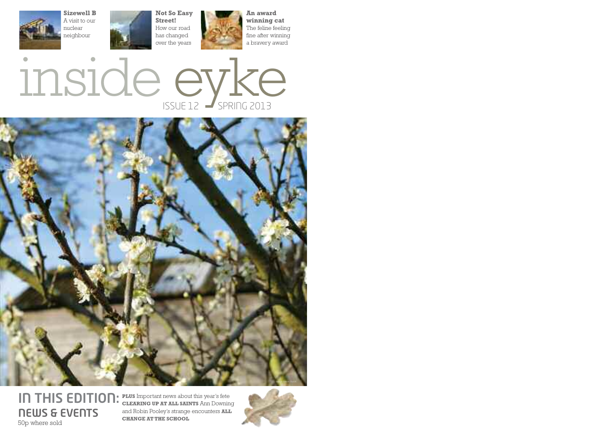

**Sizewell B** A visit to our nuclear neighbour





**An award winning cat** The feline feeling fine after winning a bravery award





#### **IN THIS EDITION:** PLUS Important news about this year's fete **NEWS & EVENTS** 50p where sold

**CLEARING UP AT ALL SAINTS** Ann Downing and Robin Pooley's strange encounters **ALL CHANGE AT THE SCHOOL**

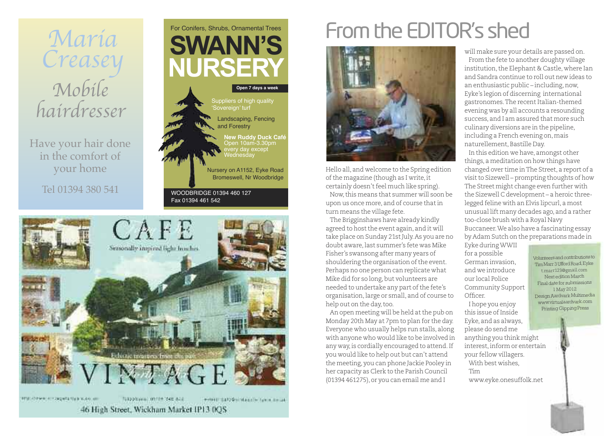

Have your hair done in the comfort of your home

Tel 01394 380 541





计特别 经优先帐户的名词复数标准的复数 网络电气器

Totobriggia: 01124 348 828 winest Early or infalse to have a most

46 High Street, Wickham Market IP13 0QS

# From the EDITOR's shed



Hello all, and welcome to the Spring edition ofthe magazine (though as I write,it certainly doesn't feel much like spring).

Now,this means that summer will soon be upon us once more, and of course thatin turn means the village fete.

The Brigginshaws have already kindly agreed to host the event again, and it will take place on Sunday 21st July. As you are no doubt aware,last summer's fete was Mike Fisher's swansong after many years of shouldering the organisation of the event. Perhaps no one person can replicate what Mike did for so long, but volunteers are needed to undertake any part of the fete's organisation,large or small, and of course to help out on the day, too.

An open meeting will be held atthe pub on Monday 20th May at 7pm to plan for the day. Everyone who usually helps run stalls, along with anyone who would like to be involved in any way, is cordially encouraged to attend. If you would like to help out but can't attend the meeting, you can phone Jackie Pooley in her capacity as Clerk to the Parish Council (01394 461275), or you can email me and I

will make sure your details are passed on.

From the fete to another doughty village institution, the Elephant & Castle, where Ian and Sandra continue to roll out new ideas to an enthusiastic public – including,now, Eyke's legion of discerning international gastronomes. The recent Italian-themed evening was by all accounts a resounding success, and I am assured that more such culinary diversions are in the pipeline, including a French evening on,mais naturellement,Bastille Day.

In this edition we have, amongst other things, a meditation on how things have changed over time inThe Street, a report of a visitto Sizewell – prompting thoughts of how The Street might change even further with the Sizewell C development – a heroic threelegged feline with an Elvis lipcurl, a most unusual lift many decades ago, and a rather too-close brush with a Royal Navy Buccaneer.We also have a fascinating essay by Adam Sutch on the preparations made in

Eyke duringWWII for a possible German invasion, and we introduce our local Police Community Support Officer. I hope you enjoy

this issue of Inside Eyke, and as always, please do send me anything you think might interest,inform or entertain your fellow villagers. With best wishes,

www.eyke.onesuffolk.net

Tim

Volunteersandcontributions to TimMarr3UffordRoad,Eyke t.marr123@gmail.com Next edition March Final date for submissions 1 May 2012 DesignAardvark Multimedia www.virtualaardvark.com Printing Gipping Press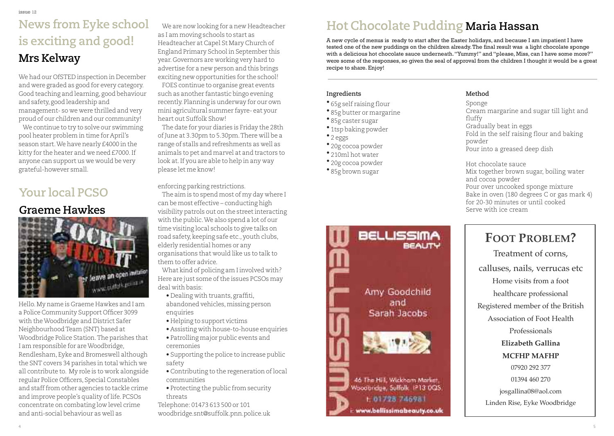# **News from Eyke school is exciting and good! Mrs Kelway**

We had our OfSTED inspection in December and were graded as good for every category. Good teaching and learning, good behaviour and safety, good leadership and management- so we were thrilled and very proud of our children and our community!

We continue to try to solve our swimming pool heater problem in time for April's season start.We have nearly £4000 in the kitty for the heater and we need £7000.If anyone can support us we would be very grateful-however small.

## **Your local PCSO**

#### **Graeme Hawkes**



Hello.My name is Graeme Hawkes and I am a Police Community Support Officer 3099 with theWoodbridge and District Safer NeighbourhoodTeam (SNT) based at Woodbridge Police Station.The parishes that I am responsible for areWoodbridge, Rendlesham, Eyke and Bromeswell although the SNT covers 34 parishes in total which we all contribute to. My role is to work alongside regular Police Officers, Special Constables and stafffrom other agencies to tackle crime and improve people's quality of life. PCSOs concentrate on combating low level crime and anti-social behaviour as well as

We are now looking for a new Headteacher as I am moving schools to start as Headteacher at Capel St Mary Church of England Primary School in September this year. Governors are working very hard to advertise for a new person and this brings exciting new opportunities for the school! FOES continue to organise great events such as another fantastic bingo evening recently. Planning is underway for our own mini agricultural summer fayre- eat your heart out Suffolk Show!

The date for your diaries is Friday the 28th of June at 3.30pm to 5.30pm. There will be a range of stalls and refreshments as well as animals to pet and marvel at and tractors to look at.If you are able to help in any way please let me know!

#### enforcing parking restrictions.

The aim is to spend most of my day where I can be most effective – conducting high visibility patrols out on the streetinteracting with the public.We also spend a lot of our time visiting local schools to give talks on road safety, keeping safe etc., youth clubs, elderly residential homes or any organisations that would like us to talk to them to offer advice.

What kind of policing am I involved with? Here are just some of the issues PCSOs may deal with basis:

- Dealing with truants, graffiti, abandoned vehicles,missing person enquiries
- Helping to support victims
- Assisting with house-to-house enquiries
- Patrolling major public events and ceremonies
- Supporting the police to increase public safety
- Contributing to the regeneration of local communities
- Protecting the public from security threats

Telephone: 01473 613 500 or 101 woodbridge.snt@suffolk.pnn.police.uk

## **Hot Chocolate Pudding Maria Hassan**

A new cycle of menus is ready to start after the Easter holidays, and because I am impatient I have tested one of the new puddings on the children already.The final result was a light chocolate sponge with a delicious hot chocolate sauce underneath."Yummy!" and "please, Miss, can I have some more?" were some of the responses, so given the seal of approval from the children I thought it would be a great recipe to share. Enjoy!

#### **Ingredients**

- 65g self raising flour
- 85g butter or margarine
- 85g caster sugar
- 1tsp baking powder
- 2 eggs
- 20g cocoa powder
- 210ml hot water
- 20g cocoa powder
- 85g brown sugar



#### **Method**

Sponge Cream margarine and sugar till light and fluffy Gradually beat in eggs Fold in the self raising flour and baking powder Pour into a greased deep dish

Hot chocolate sauce

Mix together brown sugar, boiling water and cocoa powder Pour over uncooked sponge mixture Bake in oven (180 degrees C or gas mark 4) for 20-30 minutes or until cooked Serve with ice cream

# **Foot problem?**

Treatment of corns, calluses, nails, verrucas etc Home visits from a foot healthcare professional Registered member of the British Association of Foot Health Professionals **elizabeth Gallina mCFHp mAFHp** 07920 292 377 01394 460 270 josgallina08@aol.com Linden Rise, Eyke Woodbridge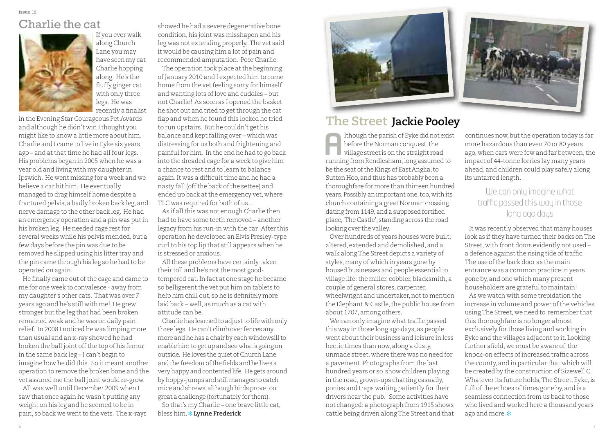## Charlie the cat



If you ever walk along Church Lane you may have seen my cat Charlie hopping along. He's the fluffy ginger cat with only three legs. He was recently a finalist

in the Evening Star Courageous Pet Awards and although he didn't win Ithought you mightlike to know a little more about him. Charlie and I came to live in Eyke six years ago – and at that time he had all four legs. His problems began in 2005 when he was a year old and living with my daughter in Ipswich. He went missing for a week and we believe a car hit him. He eventually managed to drag himself home despite a fractured pelvis, a badly broken back leg, and nerve damage to the other back leg. He had an emergency operation and a pin was putin his broken leg. He needed cage rest for several weeks while his pelvis mended, but a few days before the pin was due to be removed he slipped using his litter tray and the pin came through his leg so he had to be operated on again.

He finally came out of the cage and came to me for one week to convalesce - away from my daughter's other cats. That was over 7 years ago and he's still with me! He grew stronger but the leg that had been broken remained weak and he was on daily pain relief. In 2008 I noticed he was limping more than usual and an x-ray showed he had broken the ball joint off the top of his femur in the same back leg – I can't begin to imagine how he did this. So it meant another operation to remove the broken bone and the vet assured me the ball joint would re-grow. All was well until December 2009 when I

saw that once again he wasn't putting any weight on his leg and he seemed to be in pain, so back we went to the vets. The x-rays

showed he had a severe degenerative bone condition, his joint was misshapen and his leg was not extending properly. The vet said it would be causing him a lot of pain and recommended amputation. Poor Charlie.

The operation took place at the beginning ofJanuary 2010 and I expected him to come home from the vet feeling sorry for himself and wanting lots oflove and cuddles – but not Charlie! As soon as I opened the basket he shot out and tried to get through the cat flap and when he found this locked he tried to run upstairs. But he couldn't get his balance and kept falling over – which was distressing for us both and frightening and painful for him. In the end he had to go back into the dreaded cage for a week to give him a chance to rest and to learn to balance again. It was a difficult time and he had a nasty fall (offthe back ofthe settee) and ended up back at the emergency vet, where TLC was required for both of us...

As if all this was not enough Charlie then had to have some teeth removed – another legacy from his run-in with the car. After this operation he developed an Elvis Presley-type curl to his top lip that still appears when he is stressed or anxious.

All these problems have certainly taken their toll and he's not the most goodtempered cat.In fact at one stage he became so belligerent the vet put him on tablets to help him chill out, so he is definitely more laid back – well, as much as a cat with attitude can be.

Charlie has learned to adjust to life with only three legs. He can't climb over fences any more and he has a chair by each windowsill to enable him to get up and see what's going on outside. He loves the quiet of Church Lane and the freedom of the fields and he lives a veryhappy and contented life. He gets around by hoppy-jumps and still manages to catch mice and shrews, although birds prove too great a challenge (fortunately for them).

So that's my Charlie – one brave little cat, bless him. **❉ Lynne Frederick**



#### **The Street Jackie Pooley**

lthough the parish of Eyke did not exist before the Norman conquest, the village streetis on the straight road Ithough the parish of Eyke did not existency before the Norman conquest, the village street is on the straight road running from Rendlesham, long assumed to be the seat of the Kings of East Anglia, to Sutton Hoo, and thus has probably been a thoroughfare formore than thirteen hundred years.Possibly an important one,too,with its church containing a great Norman crossing dating from 1149, and a supposed fortified place,'TheCastle', standing across the road looking over the valley.

Over hundreds of years houses were built, altered, extended and demolished, and a walk alongThe Street depicts a variety of styles,many of which in years gone by housed businesses and people essential to village life: the miller, cobbler, blacksmith, a couple of general stores, carpenter, wheelwright and undertaker, not to mention the Elephant & Castle, the public house from about 1707, among others.

We can only imagine what traffic passed this way in those long ago days, as people went about their business and leisure in less hectic times than now, along a dusty, unmade street, where there was no need for a pavement. Photographs from the last hundred years or so show children playing in the road, grown-ups chatting casually, ponies and traps waiting patiently for their drivers near the pub. Some activities have not changed: a photograph from 1915 shows cattle being driven alongThe Street and that



continues now, but the operation today is far more hazardous than even 70 or 80 years ago, when cars were few and far between, the impact of 44-tonne lorries lay many years ahead, and children could play safely along its untarred length.

#### We can only imagine what traffic passed this way in those long ago days

It was recently observed that many houses look as ifthey have turned their backs onThe Street, with front doors evidently not used – a defence against the rising tide of traffic. The use of the back door as the main entrance was a common practice in years gone by, and one which many present householders are grateful to maintain!

As we watch with some trepidation the increase in volume and power of the vehicles usingThe Street, we need to remember that this thoroughfare is no longer almost exclusively for those living and working in Eyke and the villages adjacent to it. Looking further afield, we must be aware of the knock-on effects of increased traffic across the county, and in particular that which will be created by the construction of Sizewell C. Whatever its future holds,The Street, Eyke,is full of the echoes of times gone by, and is a seamless connection from us back to those who lived and worked here a thousand years ago and more. **❉**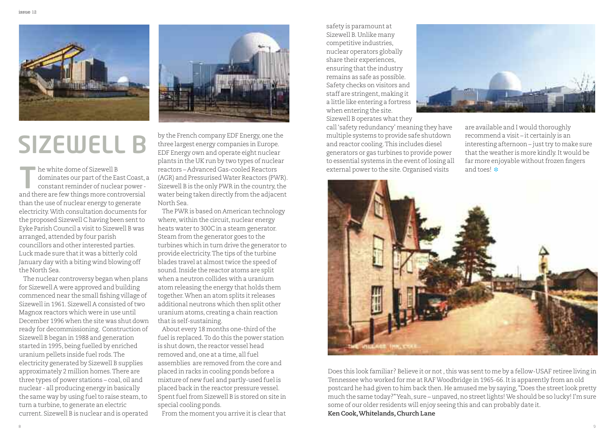

# **SIZEWELL B**

dominates our part of the East Coast, a constant reminder of nuclear power and there white dome of Sizewell B<br>dominates our part of the East Coast,<br>constant reminder of nuclear power-<br>and there are few things more controversial than the use of nuclear energy to generate electricity.With consultation documents for the proposed Sizewell C having been sent to Eyke Parish Council a visit to Sizewell B was arranged, attended by four parish councillors and other interested parties. Luck made sure thatit was a bitterly cold January day with a biting wind blowing off the North Sea.

The nuclear controversy began when plans for Sizewell A were approved and building commenced near the small fishing village of Sizewell in 1961. Sizewell A consisted of two Magnox reactors which were in use until December 1996 when the site was shut down ready for decommissioning. Construction of Sizewell B began in 1988 and generation started in 1995, being fuelled by enriched uranium pellets inside fuel rods.The electricity generated by Sizewell B supplies approximately 2 million homes.There are three types of power stations – coal, oil and nuclear - all producing energy in basically the same way by using fuel to raise steam, to turn a turbine, to generate an electric current. Sizewell B is nuclear and is operated



external power to the site.Organised visits he white dome of Sizewell B and toes! **❉** by the French company EDF Energy, one the three largest energy companies in Europe. EDF Energy own and operate eight nuclear plants in the UK run by two types of nuclear reactors – Advanced Gas-cooled Reactors (AGR) and PressurisedWater Reactors (PWR). Sizewell B is the only PWR in the country, the water being taken directly from the adjacent North Sea.

> The PWR is based on American technology where, within the circuit, nuclear energy heats water to 300C in a steam generator. Steam from the generator goes to the turbines which in turn drive the generator to provide electricity. The tips of the turbine blades travel at almost twice the speed of sound.Inside the reactor atoms are split when a neutron collides with a uranium atom releasing the energy that holds them together.When an atom splits it releases additional neutrons which then split other uranium atoms, creating a chain reaction thatis self-sustaining.

> About every 18 months one-third of the fuel is replaced.To do this the power station is shut down, the reactor vessel head removed and, one at a time, all fuel assemblies are removed from the core and placed in racks in cooling ponds before a mixture of new fuel and partly-used fuel is placed back in the reactor pressure vessel. Spent fuel from Sizewell B is stored on site in special cooling ponds.

From the moment you arrive it is clear that

safety is paramount at Sizewell B.Unlike many competitive industries, nuclear operators globally share their experiences, ensuring that the industry remains as safe as possible. Safety checks on visitors and staff are stringent, making it a little like entering a fortress when entering the site.

Sizewell B operates what they

call'safety redundancy' meaning they have multiple systems to provide safe shutdown and reactor cooling.This includes diesel generators or gas turbines to provide power to essential systems in the event of losing all



are available and I would thoroughly recommend a visit – it certainly is an interesting afternoon – just try to make sure that the weather is more kindly. It would be far more enjoyable without frozen fingers



Does this look familiar? Believe it or not, this was sent to me by a fellow-USAF retiree living in Tennessee who worked for me at RAF Woodbridge in 1965-66. It is apparently from an old postcard he had given to him back then.He amused me by saying,"Does the streetlook pretty much the same today?"Yeah, sure – unpaved,no streetlights!We should be so lucky! I'm sure some of our older residents will enjoy seeing this and can probably date it.

**Ken Cook,Whitelands,Church Lane**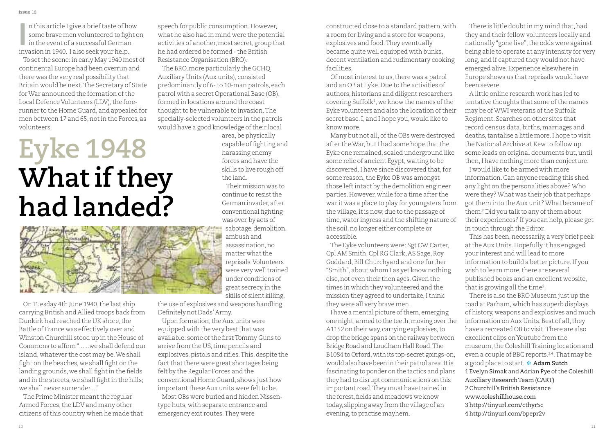n this article I give a brieftaste of how some brave men volunteered to fight on In this article I give a brief taste of ho<br>some brave men volunteered to figh<br>in the event of a successful German<br>ipyracion in 1940, Jako sook your bolp. invasion in 1940. I also seek your help.

To set the scene: in early May 1940 most of continental Europe had been overrun and there was the very real possibility that Britain would be next.The Secretary of State for War announced the formation of the Local Defence Volunteers (LDV), the forerunner to the Home Guard, and appealed for men between 17 and 65, not in the Forces, as volunteers.

# **Eyke 1948 What if they had landed?**



On Tuesday 4th June 1940, the last ship carrying British and Allied troops back from Dunkirk had reached the UK shore, the Battle of France was effectively over and Winston Churchill stood up in the House of Commons to affirm"......we shall defend our island, whatever the cost may be.We shall fight on the beaches, we shall fight on the landing grounds, we shall fight in the fields and in the streets, we shall fight in the hills; we shall never surrender...."

The Prime Minister meant the regular Armed Forces, the LDV and many other citizens of this country when he made that speech for public consumption.However, what he also had in mind were the potential activities of another, most secret, group that he had ordered be formed - the British Resistance Organisation (BRO).

The BRO, more particularly the GCHQ Auxiliary Units (Aux units), consisted predominantly of 6-to 10-man patrols, each patrol with a secret Operational Base (OB), formed in locations around the coast thought to be vulnerable to invasion. The specially-selected volunteers in the patrols would have a good knowledge of their local

area,be physically capable of fighting and harassing enemy forces and have the skills to live rough off the land.

Theirmission was to continue to resist the German invader,after conventional fighting was over, by acts of sabotage, demolition, ambush and assassination,no matter what the reprisals.Volunteers were very well trained under conditions of great secrecy,in the skills of silent killing,

the use of explosives and weapons handling. Definitely not Dads'Army.

Upon formation, the Aux units were equipped with the very bestthat was available: some of the first Tommy Guns to arrive from the US, time pencils and explosives, pistols and rifles. This, despite the fact that there were great shortages being felt by the Regular Forces and the conventional Home Guard, shows just how important these Aux units were felt to be. Most OBs were buried and hidden Nissen-

type huts, with separate entrance and emergency exit routes.They were

constructed close to a standard pattern, with a room for living and a store for weapons, explosives and food.They eventually became quite well equipped with bunks, decent ventilation and rudimentary cooking facilities.

Of most interest to us, there was a patrol and an OB at Eyke.Due to the activities of authors, historians and diligent researchers covering Suffolk1 , we know the names ofthe Eyke volunteers and also the location of their secret base.I, and I hope you, would like to know more.

Many but not all, of the OBs were destroyed after the War, but I had some hope that the Eyke one remained, sealed underground like some relic of ancient Egypt, waiting to be discovered. I have since discovered that, for some reason, the Eyke OB was amongst those left intact by the demolition engineer parties.However, while for a time after the war it was a place to play for youngsters from the village, it is now, due to the passage of time, water ingress and the shifting nature of the soil,no longer either complete or accessible.

The Eyke volunteers were: Sgt CW Carter, Cpl AM Smith, Cpl RG Clark, AS Sage, Roy Goddard, Bill Churchyard and one further "Smith", about whom I as yet know nothing else,not even their then ages. Given the times in which they volunteered and the mission they agreed to undertake,Ithink they were all very brave men.

I have a mental picture of them, emerging one night,armed to the teeth,moving over the A1152 on their way,carrying explosives,to drop the bridge spans on the railway between Bridge Road and Loudham Hall Road. The B1084 to Orford,with its top-secret goings-on, would also have been in their patrol area. It is fascinating to ponder on the tactics and plans they had to disrupt communications on this important road. They must have trained in the forest, fields and meadows we know today, slipping away fromthe village of an evening, to practise mayhem.

There is little doubt in my mind that, had they and their fellow volunteers locally and nationally"gone live",the odds were against being able to operate at any intensity for very long, and if captured they would not have emerged alive. Experience elsewhere in Europe shows us that reprisals would have been severe.

A little online research work has led to tentative thoughts that some of the names may be of WWI veterans of the Suffolk Regiment. Searches on other sites that record census data, births, marriages and deaths, tantalise a little more. I hope to visit the National Archive at Kew to follow up some leads on original documents but, until then,I have nothing more than conjecture.

I would like to be armed with more information.Can anyone reading this shed any light on the personalities above?Who were they?What was their job that perhaps got them into the Aux unit? What became of them? Did you talk to any of them about their experiences? If you can help, please get in touch through the Editor.

This has been, necessarily, a very brief peek atthe Aux Units.Hopefully it has engaged your interest and will lead to more information to build a better picture. If you wish to learn more, there are several published books and an excellent website, that is growing all the time<sup>2</sup>.

There is also the BRO Museum just up the road at Parham, which has superb displays of history, weapons and explosives and much information on Aux Units. Best of all, they have a recreated OB to visit.There are also excellent clips onYoutube from the museum, the Coleshill Training location and even a couple of BBC reports. 3,4 .That may be a good place to start. **❉ Adam Sutch** 1 Evelyn Simak and Adrian Pye of the Coleshill Auxiliary ResearchTeam (CART) 2 Churchill's British Resistance www.coleshillhouse.com 3 http://tinyurl.com/cthyr5c 4 http://tinyurl.com/bpepr2v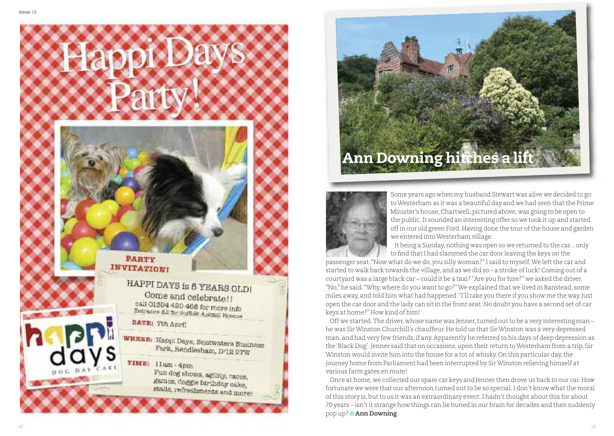

# **Ann Downing hitches a lift**



Some years ago when my husband Stewart was alive we decided to go toWesterham as it was a beautiful day and we had seen thatthe Prime Minister's house, Chartwell, pictured above, was going to be open to the public.It sounded an interesting offer so we took it up and started off in our old green Ford. Having done the tour of the house and garden we entered intoWesterham village.

It being a Sunday, nothing was open so we returned to the car... only to find that I had slammed the car door leaving the keys on the

passenger seat."Now what do we do, you silly woman?"I said to myself.We leftthe car and started to walk back towards the village, and as we did so – a stroke ofluck! Coming out of a courtyard was a large black car – could it be a taxi? "Are you for hire?" we asked the driver. "No,"he said."Why, where do you wantto go?"We explained that we lived in Banstead, some miles away, and told him what had happened."I'lltake you there if you show me the way.Just open the car door and the lady can sitin the front seat.No doubt you have a second set of car keys at home?"How kind of him!

Off we started. The driver, whose name was Jenner, turned out to be a very interesting man he was Sir Winston Churchill's chauffeur. He told us that Sir Winston was a very depressed man, and had very few friends,if any.Apparently he referred to his days of deep depression as the 'Black Dog'. Jenner said that on occasions, upon their return to Westerham from a trip, Sir Winston would invite him into the house for a tot of whisky. On this particular day, the journey home from Parliament had been interrupted by SirWinston relieving himself at various farm gates en route!

Once at home, we collected our spare car keys and Jenner then drove us back to our car.How fortunate we were that our afternoon turned out to be so special. I don't know what the moral of this story is, but to us it was an extraordinary event. I hadn't thought about this for about 70 years – isn'tit strange how things can lie buried in our brain for decades and then suddenly pop up? **❉ Ann Downing**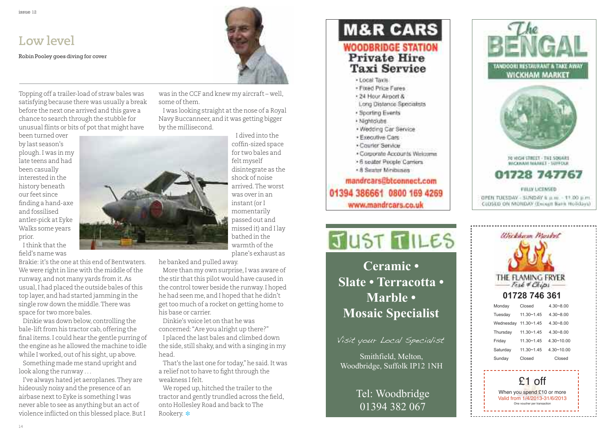## **Low level**

Robin Pooley goes diving for cover

Topping off a trailer-load of straw bales was satisfying because there was usually a break before the next one arrived and this gave a chance to search through the stubble for unusual flints or bits of pot that might have

been turned over by last season's plough.I was in my late teens and had been casually interested in the history beneath our feet since finding a hand-axe and fossilised antler-pick at Eyke Walks some years prior.

Ithink thatthe field's name was

Brakie: it's the one at this end of Bentwaters. We were right in line with the middle of the runway, and not many yards from it.As usual, I had placed the outside bales of this top layer, and had started jamming in the single row down the middle.There was space for two more bales.

Dinkie was down below, controlling the bale-lift from his tractor cab, offering the final items.I could hear the gentle purring of the engine as he allowed the machine to idle while I worked, out of his sight, up above.

Something made me stand upright and look along the runway . . .

I've always hated jet aeroplanes.They are hideously noisy and the presence of an airbase next to Eyke is something I was never able to see as anything but an act of violence inflicted on this blessed place.ButI was in the CCF and knew my aircraft – well, some of them.

I was looking straight atthe nose of a Royal Navy Buccanneer, and it was getting bigger

> I dived into the coffin-sized space for two bales and felt myself disintegrate as the shock of noise arrived.The worst was over in an instant(or I momentarily passed out and missed it) and I lay bathed in the warmth of the plane's exhaust as

he banked and pulled away.

More than my own surprise,I was aware of the stir that this pilot would have caused in the control tower beside the runway. I hoped he had seen me, and I hoped that he didn't get too much of a rocket on getting home to his base or carrier.

Dinkie's voice let on that he was concerned:"Are you alright up there?"

I placed the last bales and climbed down the side, still shaky, and with a singing in my head.

That's the last one for today,"he said.It was a relief not to have to fight through the weakness Ifelt.

We roped up, hitched the trailer to the tractor and gently trundled across the field, onto Hollesley Road and back toThe Rookery. **❉**

# **M&R CARS WOODBRIDGE STATION**

#### **Private Hire Taxi Service**

- · Local Tayle
- · Fixed Price Fares
- · 24 Hour Airport &
- Long Distance Specialists
- · Sporting Events
- · Nightclubs
- . Wedding Car Service
- · Executive Cars
- · Courier Service
- · Consorate Accounts Welcome
- . 6 seater People Carriers
- + 8 Seater Minibuses

mandrcars@btconnect.com 01394 386661 0800 169 4269 www.mandrcars.co.uk



**Mosaic Specialist** deliveries to surrounding areas, fresh **Ceramic • Slate • Terracotta • Marble •**

Visit your Local Specialist

**fished**, Melton, Woodbridge, Suffolk IP12 1NH

> Tel: Woodbridge 01394 382 067



Ulickham Market THE FLAMING FRYER  $-Fisk * Chips$ **01728 746 361** Monday Closed 4.30~8.00 Tuesday 11.30~1.45 4.30~8.00 Wednesday 11.30~1.45 4.30~8.00 Thursday 11.30~1.45 4.30~8.00 Friday  $11.30 \times 1.45$   $4.30 \times 10.00$ Saturday 11.30~1.45 4.30~10.00 Sunday Closed Closed £1 off

When you spend £10 or more Valid from 1/4/2013-31/6/2013 One voucher per transaction